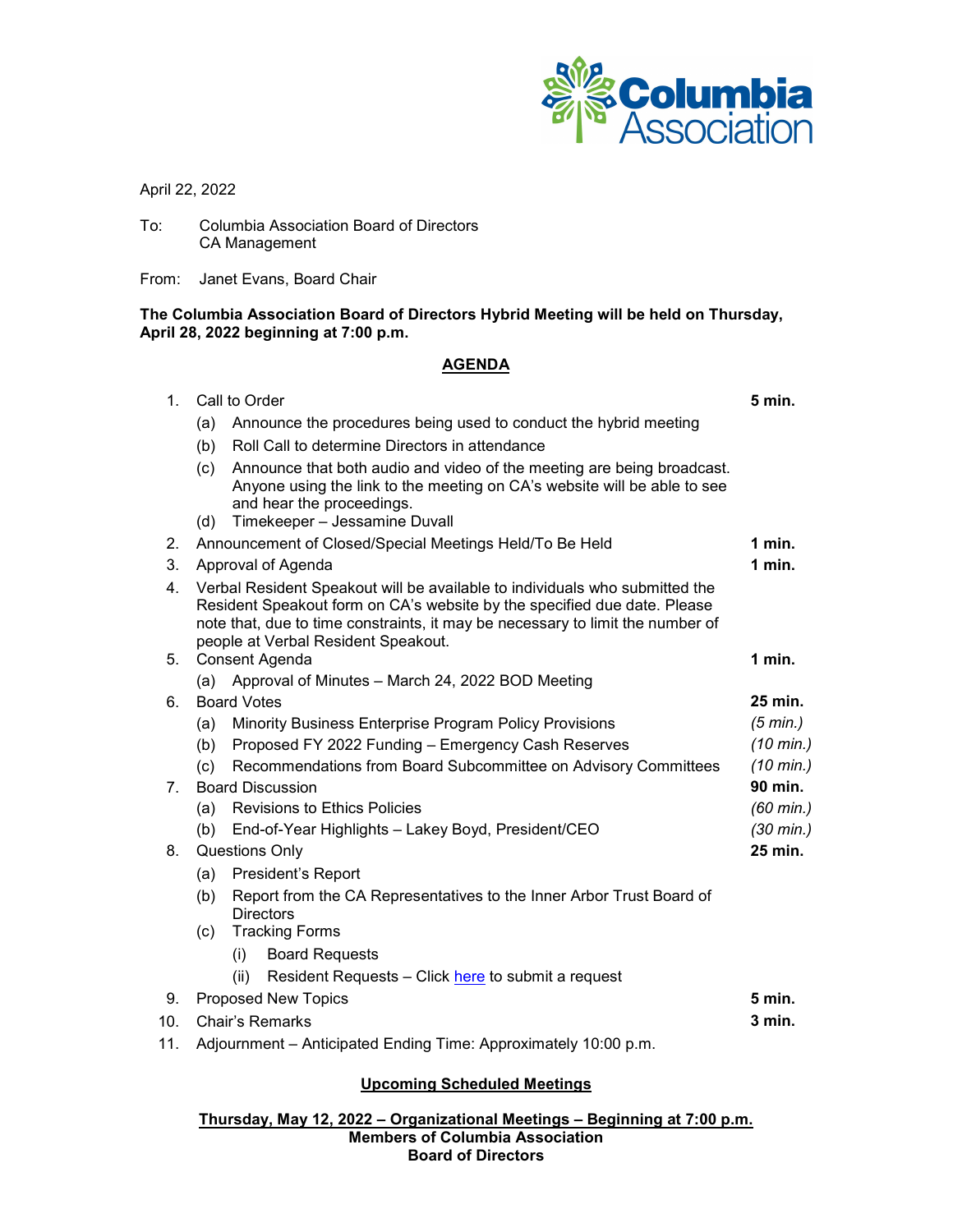

April 22, 2022

To: Columbia Association Board of Directors CA Management

From: Janet Evans, Board Chair

#### **The Columbia Association Board of Directors Hybrid Meeting will be held on Thursday, April 28, 2022 beginning at 7:00 p.m.**

## **AGENDA**

| $1_{-}$                        | Call to Order                                                                                                                                                                                                                                                                    |                                                                                                                                                                                                                  | 5 min.              |
|--------------------------------|----------------------------------------------------------------------------------------------------------------------------------------------------------------------------------------------------------------------------------------------------------------------------------|------------------------------------------------------------------------------------------------------------------------------------------------------------------------------------------------------------------|---------------------|
|                                | (a)                                                                                                                                                                                                                                                                              | Announce the procedures being used to conduct the hybrid meeting                                                                                                                                                 |                     |
|                                | (b)                                                                                                                                                                                                                                                                              | Roll Call to determine Directors in attendance                                                                                                                                                                   |                     |
|                                | (c)<br>(d)                                                                                                                                                                                                                                                                       | Announce that both audio and video of the meeting are being broadcast.<br>Anyone using the link to the meeting on CA's website will be able to see<br>and hear the proceedings.<br>Timekeeper - Jessamine Duvall |                     |
| 2.                             | Announcement of Closed/Special Meetings Held/To Be Held                                                                                                                                                                                                                          |                                                                                                                                                                                                                  | $1$ min.            |
| 3.                             | Approval of Agenda                                                                                                                                                                                                                                                               |                                                                                                                                                                                                                  | $1$ min.            |
| 4.                             | Verbal Resident Speakout will be available to individuals who submitted the<br>Resident Speakout form on CA's website by the specified due date. Please<br>note that, due to time constraints, it may be necessary to limit the number of<br>people at Verbal Resident Speakout. |                                                                                                                                                                                                                  |                     |
| 5.                             | Consent Agenda                                                                                                                                                                                                                                                                   |                                                                                                                                                                                                                  | 1 min.              |
|                                | (a)                                                                                                                                                                                                                                                                              | Approval of Minutes - March 24, 2022 BOD Meeting                                                                                                                                                                 |                     |
| 6.                             | <b>Board Votes</b>                                                                                                                                                                                                                                                               |                                                                                                                                                                                                                  | 25 min.             |
|                                | (a)                                                                                                                                                                                                                                                                              | Minority Business Enterprise Program Policy Provisions                                                                                                                                                           | $(5 \text{ min.})$  |
|                                | (b)                                                                                                                                                                                                                                                                              | Proposed FY 2022 Funding - Emergency Cash Reserves                                                                                                                                                               | $(10 \text{ min.})$ |
|                                | (c)                                                                                                                                                                                                                                                                              | Recommendations from Board Subcommittee on Advisory Committees                                                                                                                                                   | $(10 \text{ min.})$ |
| $7_{\scriptscriptstyle{\sim}}$ | <b>Board Discussion</b>                                                                                                                                                                                                                                                          |                                                                                                                                                                                                                  | 90 min.             |
|                                | (a)                                                                                                                                                                                                                                                                              | <b>Revisions to Ethics Policies</b>                                                                                                                                                                              | $(60 \text{ min.})$ |
|                                | (b)                                                                                                                                                                                                                                                                              | End-of-Year Highlights - Lakey Boyd, President/CEO                                                                                                                                                               | $(30 \text{ min.})$ |
| 8.                             | <b>Questions Only</b>                                                                                                                                                                                                                                                            |                                                                                                                                                                                                                  | 25 min.             |
|                                | (a)                                                                                                                                                                                                                                                                              | President's Report                                                                                                                                                                                               |                     |
|                                | (b)                                                                                                                                                                                                                                                                              | Report from the CA Representatives to the Inner Arbor Trust Board of<br><b>Directors</b>                                                                                                                         |                     |
|                                | <b>Tracking Forms</b><br>(c)                                                                                                                                                                                                                                                     |                                                                                                                                                                                                                  |                     |
|                                |                                                                                                                                                                                                                                                                                  | <b>Board Requests</b><br>(i)                                                                                                                                                                                     |                     |
|                                |                                                                                                                                                                                                                                                                                  | Resident Requests - Click here to submit a request<br>(ii)                                                                                                                                                       |                     |
| 9.                             | <b>Proposed New Topics</b>                                                                                                                                                                                                                                                       |                                                                                                                                                                                                                  | 5 min.              |
| 10.                            | Chair's Remarks                                                                                                                                                                                                                                                                  |                                                                                                                                                                                                                  | 3 min.              |
|                                | $\Lambda$ discovered and $\Lambda$ of the stand $\Gamma$ is discovered to $\Lambda$ is a second contribution of $\Lambda$                                                                                                                                                        |                                                                                                                                                                                                                  |                     |

11. Adjournment – Anticipated Ending Time: Approximately 10:00 p.m.

### **Upcoming Scheduled Meetings**

**Thursday, May 12, 2022 – Organizational Meetings – Beginning at 7:00 p.m. Members of Columbia Association Board of Directors**